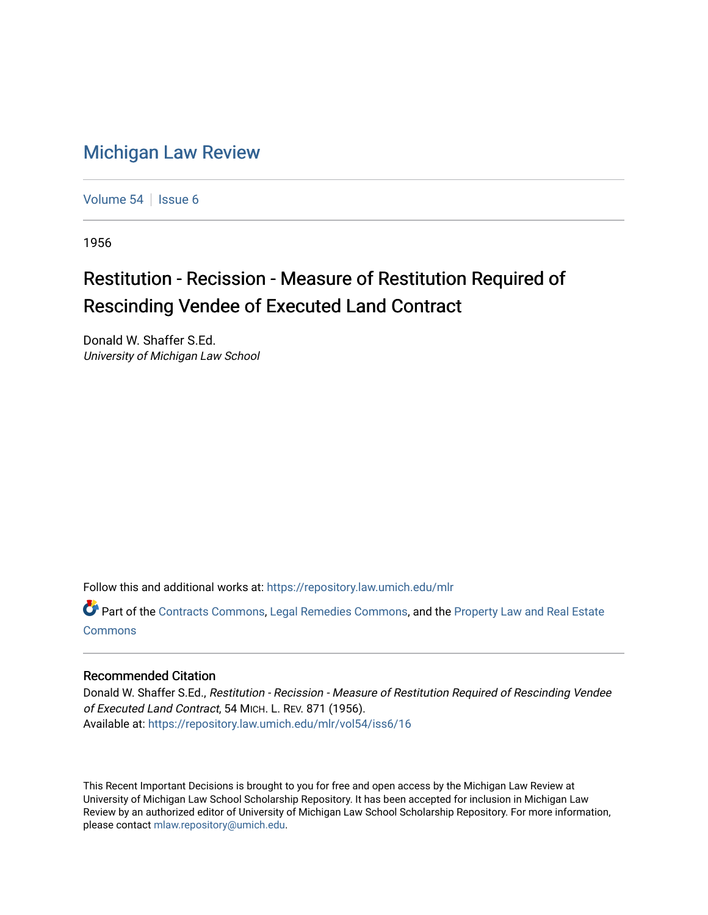## [Michigan Law Review](https://repository.law.umich.edu/mlr)

[Volume 54](https://repository.law.umich.edu/mlr/vol54) | [Issue 6](https://repository.law.umich.edu/mlr/vol54/iss6)

1956

## Restitution - Recission - Measure of Restitution Required of Rescinding Vendee of Executed Land Contract

Donald W. Shaffer S.Ed. University of Michigan Law School

Follow this and additional works at: [https://repository.law.umich.edu/mlr](https://repository.law.umich.edu/mlr?utm_source=repository.law.umich.edu%2Fmlr%2Fvol54%2Fiss6%2F16&utm_medium=PDF&utm_campaign=PDFCoverPages) 

Part of the [Contracts Commons](http://network.bepress.com/hgg/discipline/591?utm_source=repository.law.umich.edu%2Fmlr%2Fvol54%2Fiss6%2F16&utm_medium=PDF&utm_campaign=PDFCoverPages), [Legal Remedies Commons,](http://network.bepress.com/hgg/discipline/618?utm_source=repository.law.umich.edu%2Fmlr%2Fvol54%2Fiss6%2F16&utm_medium=PDF&utm_campaign=PDFCoverPages) and the [Property Law and Real Estate](http://network.bepress.com/hgg/discipline/897?utm_source=repository.law.umich.edu%2Fmlr%2Fvol54%2Fiss6%2F16&utm_medium=PDF&utm_campaign=PDFCoverPages)  [Commons](http://network.bepress.com/hgg/discipline/897?utm_source=repository.law.umich.edu%2Fmlr%2Fvol54%2Fiss6%2F16&utm_medium=PDF&utm_campaign=PDFCoverPages)

## Recommended Citation

Donald W. Shaffer S.Ed., Restitution - Recission - Measure of Restitution Required of Rescinding Vendee of Executed Land Contract, 54 MICH. L. REV. 871 (1956). Available at: [https://repository.law.umich.edu/mlr/vol54/iss6/16](https://repository.law.umich.edu/mlr/vol54/iss6/16?utm_source=repository.law.umich.edu%2Fmlr%2Fvol54%2Fiss6%2F16&utm_medium=PDF&utm_campaign=PDFCoverPages) 

This Recent Important Decisions is brought to you for free and open access by the Michigan Law Review at University of Michigan Law School Scholarship Repository. It has been accepted for inclusion in Michigan Law Review by an authorized editor of University of Michigan Law School Scholarship Repository. For more information, please contact [mlaw.repository@umich.edu.](mailto:mlaw.repository@umich.edu)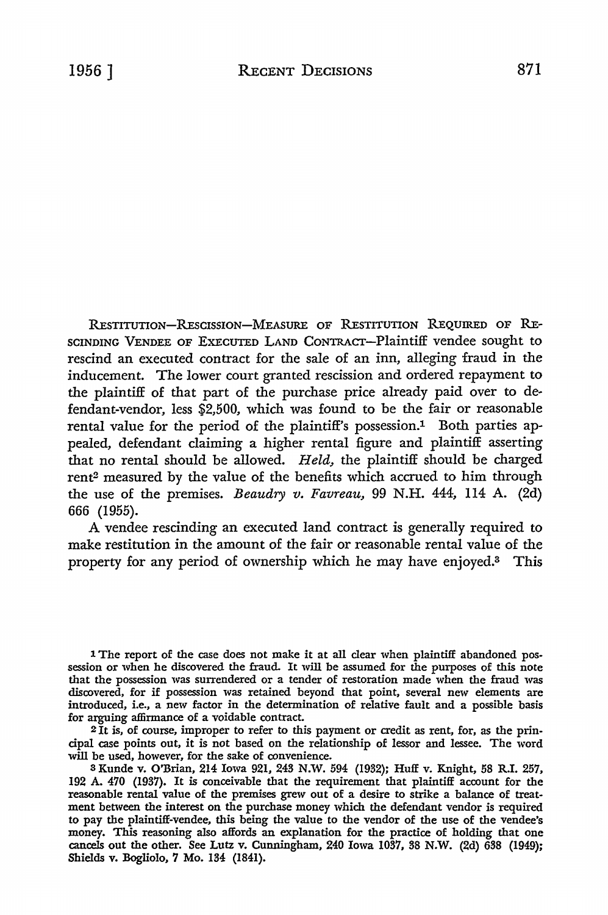RESTITUTION-RESCISSION-MEASURE OF RESTITUTION REQUIRED OF RE-SCINDING VENDEE OF EXECUTED LAND CoNTRAcr-Plaintiff vendee sought to rescind an executed contract for the sale of an inn, alleging fraud in the inducement. The lower court granted rescission and ordered repayment to the plaintiff of that part of the purchase price already paid over to defendant-vendor, less \$2,500, which was found to be the fair or reasonable rental value for the period of the plaintiff's possession.<sup>1</sup> Both parties appealed, defendant claiming a higher rental figure and plaintiff asserting that no rental should be allowed. *Held,* the plaintiff should be charged rent2 measured by the value of the benefits which accrued to him through the use of the premises. *Beaudry v. Favreau,* 99 N.H. 444, 114 A. (2d)

666 (1955). A vendee rescinding an executed land contract is generally required to make restitution in the amount of the fair or reasonable rental value of the property for any period of ownership which he may have enjoyed.3 This

1 The report of the case does not make it at all clear when plaintiff abandoned possession or when he discovered the fraud. It will be assumed for the purposes of this note that the possession was surrendered or a tender of restoration made when the fraud was discovered, for if possession was retained beyond that point, several new elements are introduced, i.e., a new factor in the determination of relative fault and a possible basis for arguing aflirmance of a voidable contract.

2 It is, of course, improper to refer to this payment or credit as rent, for, as the principal case points out, it is not based on the relationship of lessor and lessee. The word will be used, however, for the sake of convenience.

3 Kunde v. O'Brian, 214 Iowa 921, 243 N.W. 594 (1932); Huff v. Knight, 58 R.I. 257, 192 A. 470 (1937). It is conceivable that the requirement that plaintiff account for the reasonable rental value of the premises grew out of a desire to strike a balance of treatment between the interest on the purchase money which the defendant vendor is required to pay the plaintiff-vendee, this being the value to the vendor of the use of the vendee's money. This reasoning also affords an explanation for the practice of holding that one cancels out the other. See Lutz v. Cunningham, 240 Iowa 1037, 38 N.W. (2d) 638 (1949); Shields v. Bogliolo, 7 Mo. 134 (1841).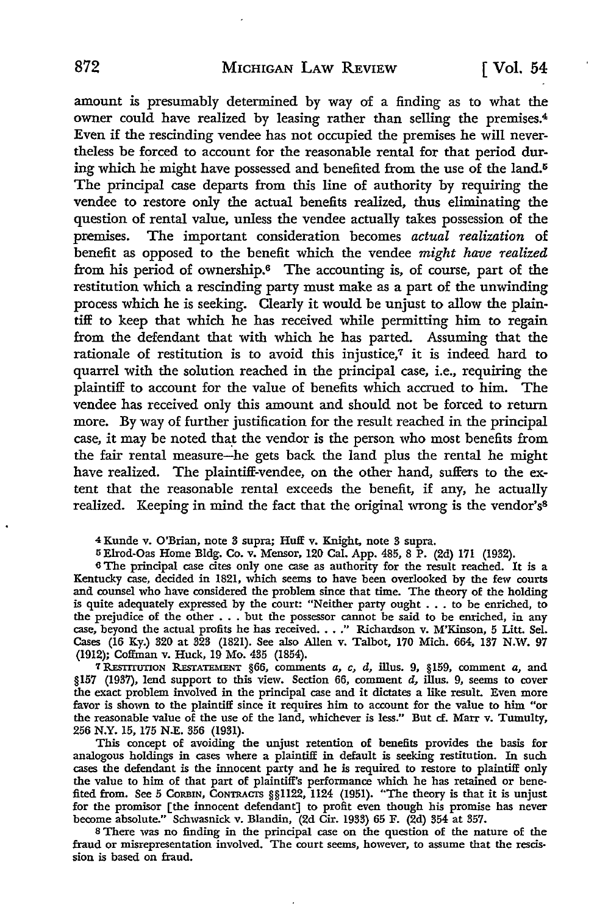amount is presumably determined by way of a finding as to what the owner could have realized by leasing rather than selling the premises.<sup>4</sup> Even if the rescinding vendee has not occupied the premises he will nevertheless be forced to account for the reasonable rental for that period during which he might have possessed and benefited from the use of the land.<sup>5</sup> The principal case departs from this line of authority by requiring the vendee to restore only the actual benefits realized, thus eliminating the question of rental value, unless the vendee actually takes possession of the premises. The important consideration becomes *actual realization* of benefit as opposed to the benefit which the vendee *might have realized*  from his period of ownership.6 The accounting is, of course, part of the restitution which a rescinding party must make as a part of the unwinding process which he is seeking. Clearly it would be unjust to allow the plaintiff to keep that which he has received while permitting him to regain from the defendant that with which he has parted. Assuming that the rationale of restitution is to avoid this injustice, $\tau$  it is indeed hard to quarrel with the solution reached in the principal case, i.e., requiring the plaintiff to account for the value of benefits which accrued to him. The vendee has received only this amount and should not be forced to return more. By way of further justification for the result reached in the principal case, it may be noted that the vendor is the person who most benefits from the fair rental measure-he gets back the land plus the rental he might have realized. The plaintiff-vendee, on the other hand, suffers to the extent that the reasonable rental exceeds the benefit, if any, he actually realized. Keeping in mind the fact that the original wrong is the vendor's<sup>8</sup>

4 Kunde v. O'Brian, note 3 supra; Huff v. Knight, note 3 supra.

5Elrod-Oas Home Bldg. Co. v. Mensor, 120 Cal. App. 485, 8 P. (2d) 171 (1932).

<sup>6</sup>The principal case cites only one case as authority for the result reached. It is a Kentucky case, decided in 1821, which seems to have been overlooked by the few courts and counsel who have considered the problem since that time. The theory of the holding is quite adequately expressed by the court: "Neither party ought . . . to be enriched, to the prejudice of the other • . • but the possessor cannot be said to be enriched, in any die prejudice of the other . . . but the possessor cannot be said to be enficited, in any case, beyond the actual profits he has received. . . ." Richardson v. M'Kinson, 5 Litt. Sel. Cases (16 Ky.) 320 at 323 (1821). See a (1912); Coffman v. Huck, 19 Mo. 435 (1854).

7 R.EsrrrunoN REsTATEMENT §66, comments *a, c,* d, illus. 9, §159, comment *a,* and §157 (1937), lend support to this view. Section 66, comment d, illus. 9, seems to cover the exact problem involved in the principal case and it dictates a like result. Even more favor is shown to the plaintiff since it requires him to account for the value to him "or the reasonable value of the use of the land, whichever is less." But cf. Marr v. Tumulty, 256 N.Y. 15, 175 N.E. 356 (1931).

This concept of avoiding the unjust retention of benefits provides the basis for analogous holdings in cases where a plaintiff in default is seeking restitution. In such cases the defendant is the innocent party and he is required to restore to plaintiff only the value to him of that part of plaintiff's performance which he has retained or benefited from. See 5 CORBIN, CONTRACTS §§1122, 1124 (1951). "The theory is that it is unjust for the promiser [the innocent defendant] to profit even though his promise has never become absolute." Schwasnick v. Blandin, (2d Cir. 1933) 65 F. (2d) 354 at 357.

s There was no finding in the principal case on the question of the nature of the fraud or misrepresentation involved. The court seems, however, to assume that the rescis• sion is based on fraud.